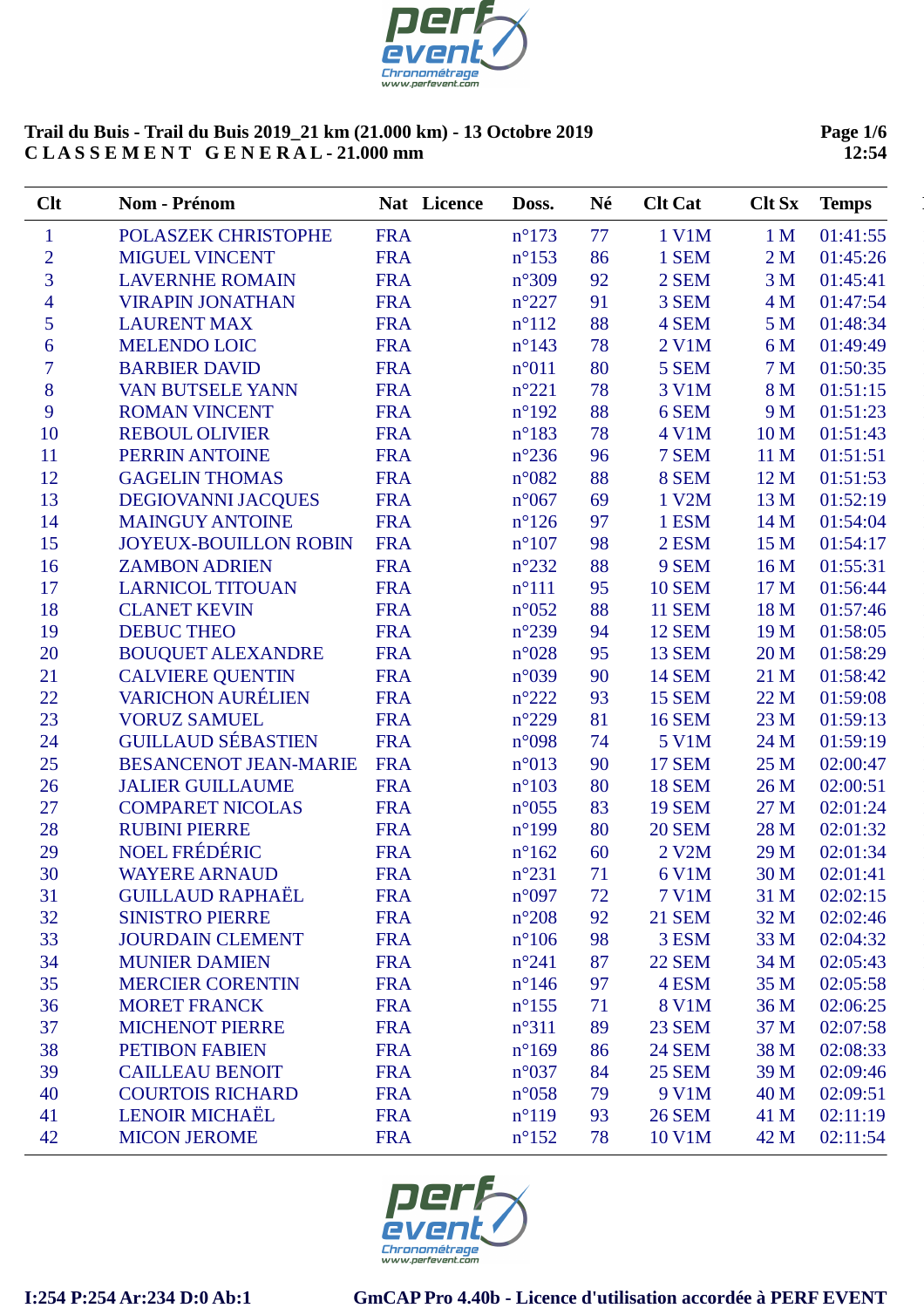

**Page 1/6 12:54**

| Clt                      | Nom - Prénom                 | Nat Licence | Doss.           | Né | <b>Clt Cat</b> | <b>Clt Sx</b>  | <b>Temps</b> |
|--------------------------|------------------------------|-------------|-----------------|----|----------------|----------------|--------------|
| $\mathbf{1}$             | POLASZEK CHRISTOPHE          | <b>FRA</b>  | $n^{\circ}173$  | 77 | 1 V1M          | 1 <sub>M</sub> | 01:41:55     |
| $\overline{c}$           | <b>MIGUEL VINCENT</b>        | <b>FRA</b>  | $n^{\circ}153$  | 86 | 1 SEM          | 2 <sub>M</sub> | 01:45:26     |
| $\overline{3}$           | <b>LAVERNHE ROMAIN</b>       | <b>FRA</b>  | $n^{\circ}309$  | 92 | 2 SEM          | 3 <sub>M</sub> | 01:45:41     |
| $\overline{\mathcal{A}}$ | <b>VIRAPIN JONATHAN</b>      | <b>FRA</b>  | $n^{\circ}227$  | 91 | 3 SEM          | 4 M            | 01:47:54     |
| 5                        | <b>LAURENT MAX</b>           | <b>FRA</b>  | $n^{\circ}112$  | 88 | 4 SEM          | 5 <sub>M</sub> | 01:48:34     |
| 6                        | <b>MELENDO LOIC</b>          | <b>FRA</b>  | $n^{\circ}$ 143 | 78 | 2 V1M          | 6 M            | 01:49:49     |
| $\overline{7}$           | <b>BARBIER DAVID</b>         | <b>FRA</b>  | n°011           | 80 | 5 SEM          | 7 <sub>M</sub> | 01:50:35     |
| 8                        | <b>VAN BUTSELE YANN</b>      | <b>FRA</b>  | $n^{\circ}221$  | 78 | 3 V1M          | 8 M            | 01:51:15     |
| 9                        | <b>ROMAN VINCENT</b>         | <b>FRA</b>  | $n^{\circ}192$  | 88 | 6 SEM          | 9 M            | 01:51:23     |
| 10                       | <b>REBOUL OLIVIER</b>        | <b>FRA</b>  | $n^{\circ}183$  | 78 | 4 V1M          | 10 M           | 01:51:43     |
| 11                       | PERRIN ANTOINE               | <b>FRA</b>  | $n^{\circ}236$  | 96 | 7 SEM          | 11 M           | 01:51:51     |
| 12                       | <b>GAGELIN THOMAS</b>        | <b>FRA</b>  | $n^{\circ}082$  | 88 | 8 SEM          | 12 M           | 01:51:53     |
| 13                       | <b>DEGIOVANNI JACQUES</b>    | <b>FRA</b>  | $n^{\circ}067$  | 69 | 1 V2M          | 13 M           | 01:52:19     |
| 14                       | <b>MAINGUY ANTOINE</b>       | <b>FRA</b>  | $n^{\circ}126$  | 97 | 1 ESM          | 14 M           | 01:54:04     |
| 15                       | <b>JOYEUX-BOUILLON ROBIN</b> | <b>FRA</b>  | $n^{\circ}107$  | 98 | 2 ESM          | 15 M           | 01:54:17     |
| 16                       | <b>ZAMBON ADRIEN</b>         | <b>FRA</b>  | $n^{\circ}232$  | 88 | 9 SEM          | 16 M           | 01:55:31     |
| 17                       | <b>LARNICOL TITOUAN</b>      | <b>FRA</b>  | $n^{\circ}111$  | 95 | <b>10 SEM</b>  | 17 M           | 01:56:44     |
| 18                       | <b>CLANET KEVIN</b>          | <b>FRA</b>  | $n^{\circ}052$  | 88 | <b>11 SEM</b>  | 18 M           | 01:57:46     |
| 19                       | <b>DEBUC THEO</b>            | <b>FRA</b>  | $n^{\circ}239$  | 94 | <b>12 SEM</b>  | 19 M           | 01:58:05     |
| 20                       | <b>BOUQUET ALEXANDRE</b>     | <b>FRA</b>  | $n^{\circ}028$  | 95 | <b>13 SEM</b>  | 20 M           | 01:58:29     |
| 21                       | <b>CALVIERE QUENTIN</b>      | <b>FRA</b>  | n°039           | 90 | <b>14 SEM</b>  | 21 M           | 01:58:42     |
| 22                       | <b>VARICHON AURÉLIEN</b>     | <b>FRA</b>  | $n^{\circ}222$  | 93 | <b>15 SEM</b>  | 22 M           | 01:59:08     |
| 23                       | <b>VORUZ SAMUEL</b>          | <b>FRA</b>  | $n^{\circ}229$  | 81 | <b>16 SEM</b>  | 23 M           | 01:59:13     |
| 24                       | <b>GUILLAUD SÉBASTIEN</b>    | <b>FRA</b>  | n°098           | 74 | 5 V1M          | 24 M           | 01:59:19     |
| 25                       | <b>BESANCENOT JEAN-MARIE</b> | <b>FRA</b>  | n°013           | 90 | <b>17 SEM</b>  | 25 M           | 02:00:47     |
| 26                       | <b>JALIER GUILLAUME</b>      | <b>FRA</b>  | $n^{\circ}103$  | 80 | <b>18 SEM</b>  | 26 M           | 02:00:51     |
| 27                       | <b>COMPARET NICOLAS</b>      | <b>FRA</b>  | $n^{\circ}055$  | 83 | <b>19 SEM</b>  | 27 M           | 02:01:24     |
| 28                       | <b>RUBINI PIERRE</b>         | <b>FRA</b>  | $n^{\circ}199$  | 80 | <b>20 SEM</b>  | 28 M           | 02:01:32     |
| 29                       | NOEL FRÉDÉRIC                | <b>FRA</b>  | $n^{\circ}162$  | 60 | 2 V2M          | 29 M           | 02:01:34     |
| 30                       | <b>WAYERE ARNAUD</b>         | <b>FRA</b>  | $n^{\circ}231$  | 71 | 6 V1M          | 30 M           | 02:01:41     |
| 31                       | <b>GUILLAUD RAPHAËL</b>      | <b>FRA</b>  | $n^{\circ}097$  | 72 | 7 V1M          | 31 M           | 02:02:15     |
| 32                       | <b>SINISTRO PIERRE</b>       | <b>FRA</b>  | $n^{\circ}208$  | 92 | <b>21 SEM</b>  | 32 M           | 02:02:46     |
| 33                       | <b>JOURDAIN CLEMENT</b>      | <b>FRA</b>  | $n^{\circ}106$  | 98 | 3 ESM          | 33 M           | 02:04:32     |
| 34                       | <b>MUNIER DAMIEN</b>         | <b>FRA</b>  | $n^{\circ}241$  | 87 | <b>22 SEM</b>  | 34 M           | 02:05:43     |
| 35                       | <b>MERCIER CORENTIN</b>      | <b>FRA</b>  | $n^{\circ}$ 146 | 97 | 4 ESM          | 35 M           | 02:05:58     |
| 36                       | <b>MORET FRANCK</b>          | <b>FRA</b>  | $n^{\circ}155$  | 71 | <b>8 V1M</b>   | 36 M           | 02:06:25     |
| 37                       | <b>MICHENOT PIERRE</b>       | <b>FRA</b>  | $n^{\circ}311$  | 89 | <b>23 SEM</b>  | 37 M           | 02:07:58     |
| 38                       | <b>PETIBON FABIEN</b>        | <b>FRA</b>  | $n^{\circ}169$  | 86 | <b>24 SEM</b>  | 38 M           | 02:08:33     |
| 39                       | <b>CAILLEAU BENOIT</b>       | <b>FRA</b>  | $n^{\circ}037$  | 84 | <b>25 SEM</b>  | 39 M           | 02:09:46     |
| 40                       | <b>COURTOIS RICHARD</b>      | <b>FRA</b>  | $n^{\circ}058$  | 79 | 9 V1M          | 40 M           | 02:09:51     |
| 41                       | <b>LENOIR MICHAËL</b>        | <b>FRA</b>  | $n^{\circ}119$  | 93 | <b>26 SEM</b>  | 41 M           | 02:11:19     |
| 42                       | <b>MICON JEROME</b>          | <b>FRA</b>  | $n^{\circ}152$  | 78 | 10 V1M         | 42 M           | 02:11:54     |

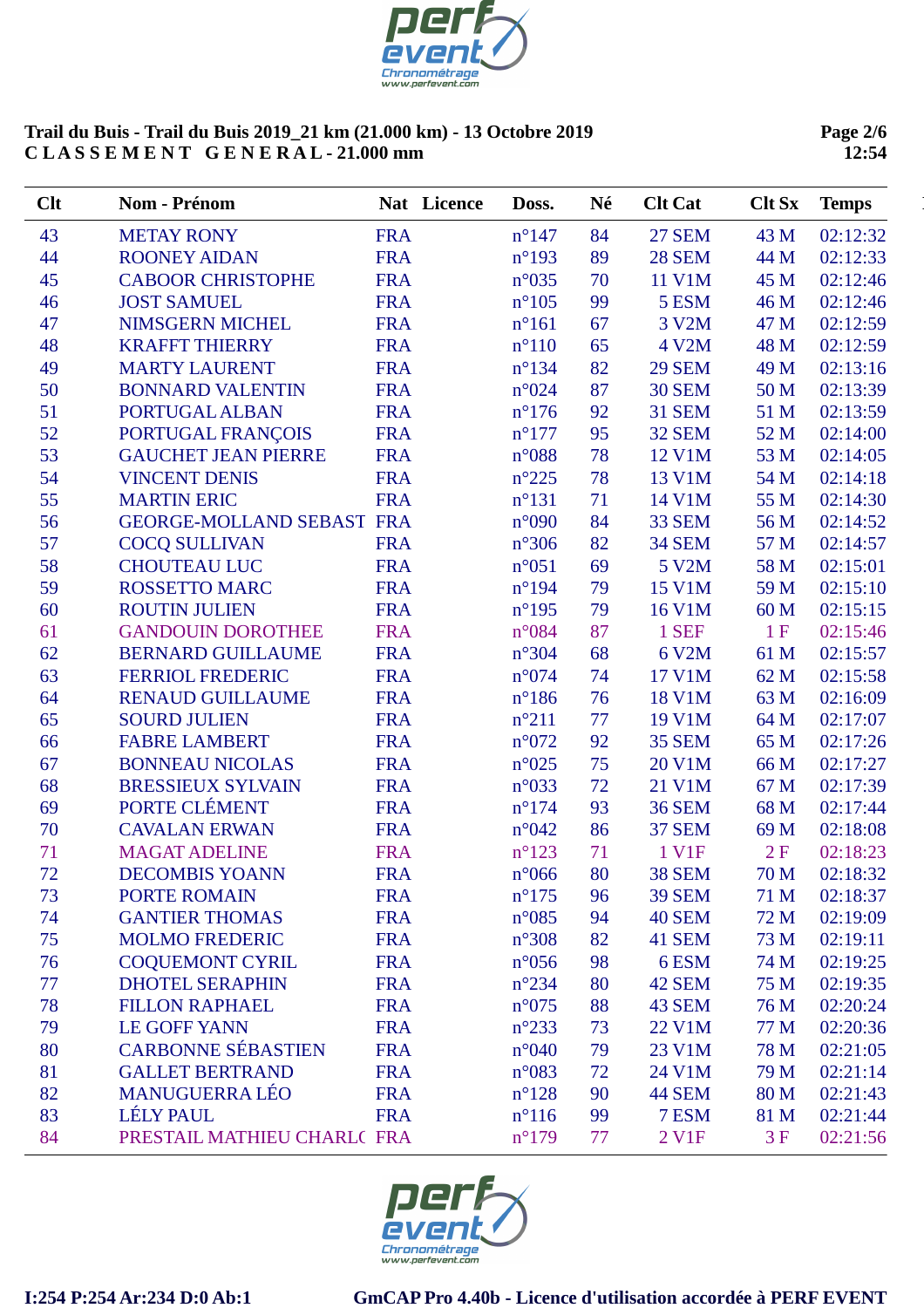

**Page 2/6 12:54**

| Clt | Nom - Prénom                     |            | Nat Licence | Doss.           | Né | <b>Clt Cat</b> | <b>Clt Sx</b> | <b>Temps</b> |
|-----|----------------------------------|------------|-------------|-----------------|----|----------------|---------------|--------------|
| 43  | <b>METAY RONY</b>                | <b>FRA</b> |             | $n^{\circ}$ 147 | 84 | <b>27 SEM</b>  | 43 M          | 02:12:32     |
| 44  | <b>ROONEY AIDAN</b>              | <b>FRA</b> |             | $n^{\circ}193$  | 89 | <b>28 SEM</b>  | 44 M          | 02:12:33     |
| 45  | <b>CABOOR CHRISTOPHE</b>         | <b>FRA</b> |             | $n^{\circ}035$  | 70 | 11 V1M         | 45 M          | 02:12:46     |
| 46  | <b>JOST SAMUEL</b>               | <b>FRA</b> |             | $n^{\circ}105$  | 99 | 5 ESM          | 46 M          | 02:12:46     |
| 47  | <b>NIMSGERN MICHEL</b>           | <b>FRA</b> |             | $n^{\circ}161$  | 67 | 3 V2M          | 47 M          | 02:12:59     |
| 48  | <b>KRAFFT THIERRY</b>            | <b>FRA</b> |             | $n^{\circ}110$  | 65 | 4 V2M          | 48 M          | 02:12:59     |
| 49  | <b>MARTY LAURENT</b>             | <b>FRA</b> |             | $n^{\circ}$ 134 | 82 | <b>29 SEM</b>  | 49 M          | 02:13:16     |
| 50  | <b>BONNARD VALENTIN</b>          | <b>FRA</b> |             | n°024           | 87 | <b>30 SEM</b>  | 50 M          | 02:13:39     |
| 51  | PORTUGAL ALBAN                   | <b>FRA</b> |             | $n^{\circ}176$  | 92 | <b>31 SEM</b>  | 51 M          | 02:13:59     |
| 52  | PORTUGAL FRANÇOIS                | <b>FRA</b> |             | $n^{\circ}177$  | 95 | <b>32 SEM</b>  | 52 M          | 02:14:00     |
| 53  | <b>GAUCHET JEAN PIERRE</b>       | <b>FRA</b> |             | $n^{\circ}088$  | 78 | 12 V1M         | 53 M          | 02:14:05     |
| 54  | <b>VINCENT DENIS</b>             | <b>FRA</b> |             | $n^{\circ}225$  | 78 | 13 V1M         | 54 M          | 02:14:18     |
| 55  | <b>MARTIN ERIC</b>               | <b>FRA</b> |             | $n^{\circ}131$  | 71 | 14 V1M         | 55 M          | 02:14:30     |
| 56  | <b>GEORGE-MOLLAND SEBAST FRA</b> |            |             | n°090           | 84 | 33 SEM         | 56 M          | 02:14:52     |
| 57  | <b>COCQ SULLIVAN</b>             | <b>FRA</b> |             | $n^{\circ}306$  | 82 | <b>34 SEM</b>  | 57 M          | 02:14:57     |
| 58  | <b>CHOUTEAU LUC</b>              | <b>FRA</b> |             | $n^{\circ}051$  | 69 | 5 V2M          | 58 M          | 02:15:01     |
| 59  | <b>ROSSETTO MARC</b>             | <b>FRA</b> |             | $n^{\circ}194$  | 79 | 15 V1M         | 59 M          | 02:15:10     |
| 60  | <b>ROUTIN JULIEN</b>             | <b>FRA</b> |             | $n^{\circ}$ 195 | 79 | 16 V1M         | 60 M          | 02:15:15     |
| 61  | <b>GANDOUIN DOROTHEE</b>         | <b>FRA</b> |             | n°084           | 87 | 1 SEF          | 1F            | 02:15:46     |
| 62  | <b>BERNARD GUILLAUME</b>         | <b>FRA</b> |             | $n^{\circ}304$  | 68 | 6 V2M          | 61 M          | 02:15:57     |
| 63  | <b>FERRIOL FREDERIC</b>          | <b>FRA</b> |             | n°074           | 74 | 17 V1M         | 62 M          | 02:15:58     |
| 64  | <b>RENAUD GUILLAUME</b>          | <b>FRA</b> |             | $n^{\circ}186$  | 76 | <b>18 V1M</b>  | 63 M          | 02:16:09     |
| 65  | <b>SOURD JULIEN</b>              | <b>FRA</b> |             | $n^{\circ}211$  | 77 | 19 V1M         | 64 M          | 02:17:07     |
| 66  | <b>FABRE LAMBERT</b>             | <b>FRA</b> |             | $n^{\circ}072$  | 92 | <b>35 SEM</b>  | 65 M          | 02:17:26     |
| 67  | <b>BONNEAU NICOLAS</b>           | <b>FRA</b> |             | $n^{\circ}025$  | 75 | 20 V1M         | 66 M          | 02:17:27     |
| 68  | <b>BRESSIEUX SYLVAIN</b>         | <b>FRA</b> |             | n°033           | 72 | 21 V1M         | 67 M          | 02:17:39     |
| 69  | PORTE CLÉMENT                    | <b>FRA</b> |             | $n^{\circ}174$  | 93 | <b>36 SEM</b>  | 68 M          | 02:17:44     |
| 70  | <b>CAVALAN ERWAN</b>             | <b>FRA</b> |             | n°042           | 86 | <b>37 SEM</b>  | 69 M          | 02:18:08     |
| 71  | <b>MAGAT ADELINE</b>             | <b>FRA</b> |             | $n^{\circ}123$  | 71 | 1 V1F          | 2F            | 02:18:23     |
| 72  | <b>DECOMBIS YOANN</b>            | <b>FRA</b> |             | $n^{\circ}066$  | 80 | <b>38 SEM</b>  | 70 M          | 02:18:32     |
| 73  | <b>PORTE ROMAIN</b>              | <b>FRA</b> |             | $n^{\circ}175$  | 96 | <b>39 SEM</b>  | 71 M          | 02:18:37     |
| 74  | <b>GANTIER THOMAS</b>            | <b>FRA</b> |             | $n^{\circ}085$  | 94 | <b>40 SEM</b>  | 72 M          | 02:19:09     |
| 75  | <b>MOLMO FREDERIC</b>            | <b>FRA</b> |             | $n^{\circ}308$  | 82 | 41 SEM         | 73 M          | 02:19:11     |
| 76  | <b>COQUEMONT CYRIL</b>           | <b>FRA</b> |             | $n^{\circ}056$  | 98 | 6ESM           | 74 M          | 02:19:25     |
| 77  | <b>DHOTEL SERAPHIN</b>           | <b>FRA</b> |             | $n^{\circ}234$  | 80 | <b>42 SEM</b>  | 75 M          | 02:19:35     |
| 78  | <b>FILLON RAPHAEL</b>            | <b>FRA</b> |             | $n^{\circ}075$  | 88 | 43 SEM         | 76 M          | 02:20:24     |
| 79  | <b>LE GOFF YANN</b>              | <b>FRA</b> |             | $n^{\circ}233$  | 73 | 22 V1M         | 77 M          | 02:20:36     |
| 80  | <b>CARBONNE SÉBASTIEN</b>        | <b>FRA</b> |             | $n^{\circ}040$  | 79 | 23 V1M         | 78 M          | 02:21:05     |
| 81  | <b>GALLET BERTRAND</b>           | <b>FRA</b> |             | $n^{\circ}083$  | 72 | 24 V1M         | 79 M          | 02:21:14     |
| 82  | <b>MANUGUERRA LÉO</b>            | <b>FRA</b> |             | $n^{\circ}128$  | 90 | 44 SEM         | 80 M          | 02:21:43     |
| 83  | <b>LÉLY PAUL</b>                 | <b>FRA</b> |             | $n^{\circ}116$  | 99 | 7 ESM          | 81 M          | 02:21:44     |
| 84  | PRESTAIL MATHIEU CHARL(FRA       |            |             | $n^{\circ}179$  | 77 | 2 V1F          | 3F            | 02:21:56     |

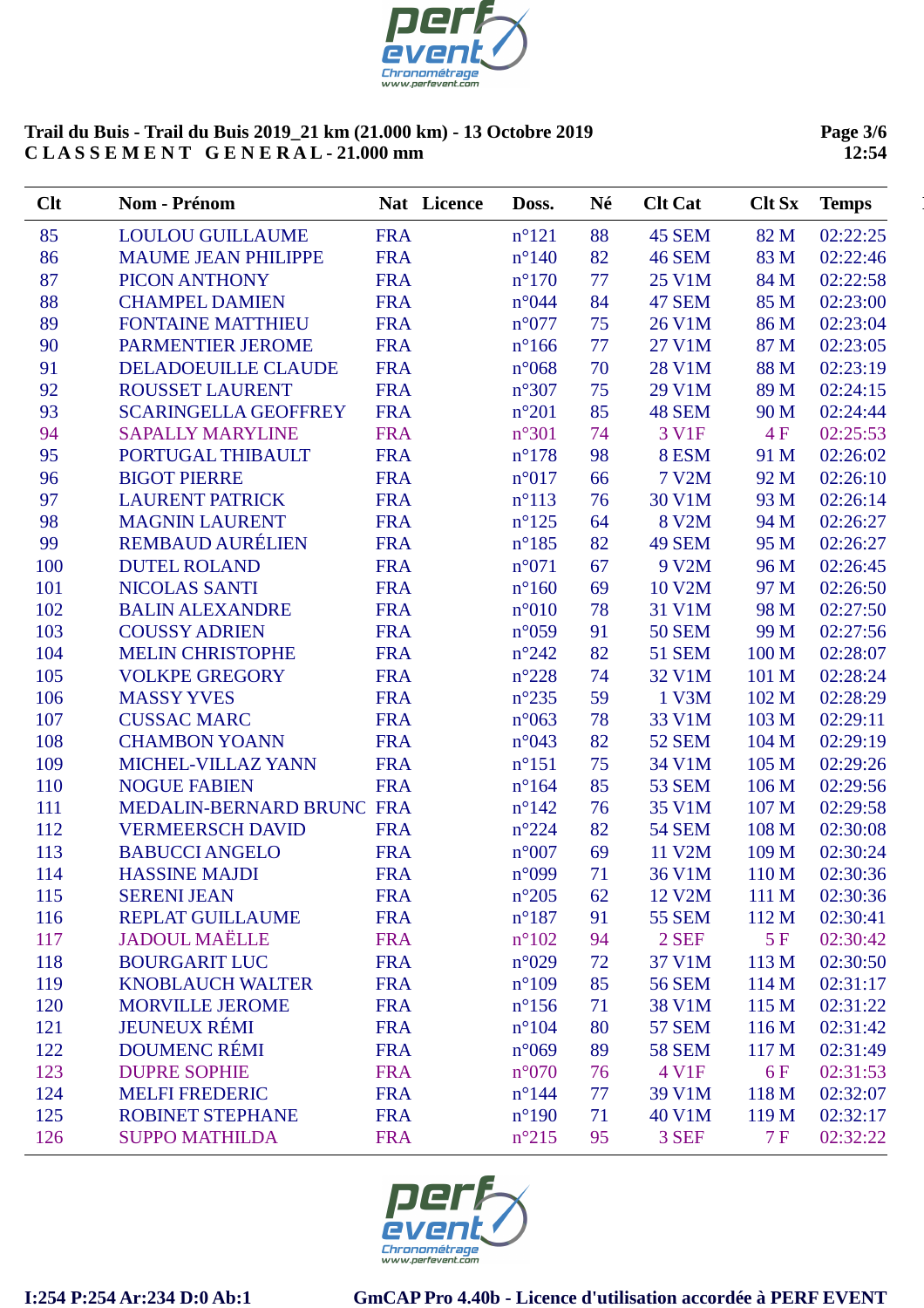

**Page 3/6 12:54**

| Clt | Nom - Prénom                | Nat Licence | Doss.           | Né | <b>Clt Cat</b> | <b>Clt Sx</b> | <b>Temps</b> |
|-----|-----------------------------|-------------|-----------------|----|----------------|---------------|--------------|
| 85  | <b>LOULOU GUILLAUME</b>     | <b>FRA</b>  | $n^{\circ}121$  | 88 | 45 SEM         | 82 M          | 02:22:25     |
| 86  | <b>MAUME JEAN PHILIPPE</b>  | <b>FRA</b>  | $n^{\circ}140$  | 82 | <b>46 SEM</b>  | 83 M          | 02:22:46     |
| 87  | PICON ANTHONY               | <b>FRA</b>  | $n^{\circ}170$  | 77 | 25 V1M         | 84 M          | 02:22:58     |
| 88  | <b>CHAMPEL DAMIEN</b>       | <b>FRA</b>  | n°044           | 84 | 47 SEM         | 85 M          | 02:23:00     |
| 89  | <b>FONTAINE MATTHIEU</b>    | <b>FRA</b>  | $n^{\circ}077$  | 75 | 26 V1M         | 86 M          | 02:23:04     |
| 90  | <b>PARMENTIER JEROME</b>    | <b>FRA</b>  | $n^{\circ}166$  | 77 | 27 V1M         | 87 M          | 02:23:05     |
| 91  | DELADOEUILLE CLAUDE         | <b>FRA</b>  | $n^{\circ}068$  | 70 | <b>28 V1M</b>  | 88 M          | 02:23:19     |
| 92  | <b>ROUSSET LAURENT</b>      | <b>FRA</b>  | $n^{\circ}307$  | 75 | 29 V1M         | 89 M          | 02:24:15     |
| 93  | <b>SCARINGELLA GEOFFREY</b> | <b>FRA</b>  | $n^{\circ}201$  | 85 | 48 SEM         | 90 M          | 02:24:44     |
| 94  | <b>SAPALLY MARYLINE</b>     | <b>FRA</b>  | $n^{\circ}301$  | 74 | 3 V1F          | 4F            | 02:25:53     |
| 95  | PORTUGAL THIBAULT           | <b>FRA</b>  | $n^{\circ}178$  | 98 | 8 ESM          | 91 M          | 02:26:02     |
| 96  | <b>BIGOT PIERRE</b>         | <b>FRA</b>  | $n^{\circ}017$  | 66 | 7 V2M          | 92 M          | 02:26:10     |
| 97  | <b>LAURENT PATRICK</b>      | <b>FRA</b>  | $n^{\circ}113$  | 76 | 30 V1M         | 93 M          | 02:26:14     |
| 98  | <b>MAGNIN LAURENT</b>       | <b>FRA</b>  | $n^{\circ}125$  | 64 | 8 V2M          | 94 M          | 02:26:27     |
| 99  | <b>REMBAUD AURÉLIEN</b>     | <b>FRA</b>  | $n^{\circ}185$  | 82 | <b>49 SEM</b>  | 95 M          | 02:26:27     |
| 100 | <b>DUTEL ROLAND</b>         | <b>FRA</b>  | $n^{\circ}071$  | 67 | 9 V2M          | 96 M          | 02:26:45     |
| 101 | <b>NICOLAS SANTI</b>        | <b>FRA</b>  | $n^{\circ}160$  | 69 | 10 V2M         | 97 M          | 02:26:50     |
| 102 | <b>BALIN ALEXANDRE</b>      | <b>FRA</b>  | $n^{\circ}010$  | 78 | 31 V1M         | 98 M          | 02:27:50     |
| 103 | <b>COUSSY ADRIEN</b>        | <b>FRA</b>  | $n^{\circ}059$  | 91 | <b>50 SEM</b>  | 99 M          | 02:27:56     |
| 104 | <b>MELIN CHRISTOPHE</b>     | <b>FRA</b>  | $n^{\circ}242$  | 82 | <b>51 SEM</b>  | 100 M         | 02:28:07     |
| 105 | <b>VOLKPE GREGORY</b>       | <b>FRA</b>  | $n^{\circ}228$  | 74 | 32 V1M         | 101 M         | 02:28:24     |
| 106 | <b>MASSY YVES</b>           | <b>FRA</b>  | $n^{\circ}235$  | 59 | 1 V3M          | 102 M         | 02:28:29     |
| 107 | <b>CUSSAC MARC</b>          | <b>FRA</b>  | $n^{\circ}063$  | 78 | 33 V1M         | 103 M         | 02:29:11     |
| 108 | <b>CHAMBON YOANN</b>        | <b>FRA</b>  | n°043           | 82 | <b>52 SEM</b>  | 104 M         | 02:29:19     |
| 109 | MICHEL-VILLAZ YANN          | <b>FRA</b>  | $n^{\circ}151$  | 75 | 34 V1M         | 105 M         | 02:29:26     |
| 110 | <b>NOGUE FABIEN</b>         | <b>FRA</b>  | $n^{\circ}164$  | 85 | <b>53 SEM</b>  | 106 M         | 02:29:56     |
| 111 | MEDALIN-BERNARD BRUNC FRA   |             | $n^{\circ}142$  | 76 | 35 V1M         | 107 M         | 02:29:58     |
| 112 | <b>VERMEERSCH DAVID</b>     | <b>FRA</b>  | $n^{\circ}224$  | 82 | <b>54 SEM</b>  | 108 M         | 02:30:08     |
| 113 | <b>BABUCCI ANGELO</b>       | <b>FRA</b>  | $n^{\circ}007$  | 69 | 11 V2M         | 109 M         | 02:30:24     |
| 114 | <b>HASSINE MAJDI</b>        | <b>FRA</b>  | n°099           | 71 | 36 V1M         | 110 M         | 02:30:36     |
| 115 | <b>SERENI JEAN</b>          | <b>FRA</b>  | $n^{\circ}205$  | 62 | 12 V2M         | 111 M         | 02:30:36     |
| 116 | <b>REPLAT GUILLAUME</b>     | <b>FRA</b>  | $n^{\circ}187$  | 91 | <b>55 SEM</b>  | 112 M         | 02:30:41     |
| 117 | <b>JADOUL MAËLLE</b>        | <b>FRA</b>  | $n^{\circ}102$  | 94 | 2 SEF          | 5F            | 02:30:42     |
| 118 | <b>BOURGARIT LUC</b>        | <b>FRA</b>  | $n^{\circ}029$  | 72 | 37 V1M         | 113 M         | 02:30:50     |
| 119 | <b>KNOBLAUCH WALTER</b>     | <b>FRA</b>  | $n^{\circ}109$  | 85 | <b>56 SEM</b>  | 114 M         | 02:31:17     |
| 120 | <b>MORVILLE JEROME</b>      | <b>FRA</b>  | $n^{\circ}156$  | 71 | <b>38 V1M</b>  | 115 M         | 02:31:22     |
| 121 | <b>JEUNEUX RÉMI</b>         | <b>FRA</b>  | $n^{\circ}104$  | 80 | <b>57 SEM</b>  | 116 M         | 02:31:42     |
| 122 | <b>DOUMENC RÉMI</b>         | <b>FRA</b>  | $n^{\circ}069$  | 89 | <b>58 SEM</b>  | 117 M         | 02:31:49     |
| 123 | <b>DUPRE SOPHIE</b>         | <b>FRA</b>  | $n^{\circ}070$  | 76 | 4 V1F          | 6F            | 02:31:53     |
| 124 | <b>MELFI FREDERIC</b>       | <b>FRA</b>  | $n^{\circ}$ 144 | 77 | 39 V1M         | 118 M         | 02:32:07     |
| 125 | <b>ROBINET STEPHANE</b>     | <b>FRA</b>  | $n^{\circ}190$  | 71 | 40 V1M         | 119 M         | 02:32:17     |
| 126 | <b>SUPPO MATHILDA</b>       | <b>FRA</b>  | $n^{\circ}215$  | 95 | 3 SEF          | 7F            | 02:32:22     |
|     |                             |             |                 |    |                |               |              |

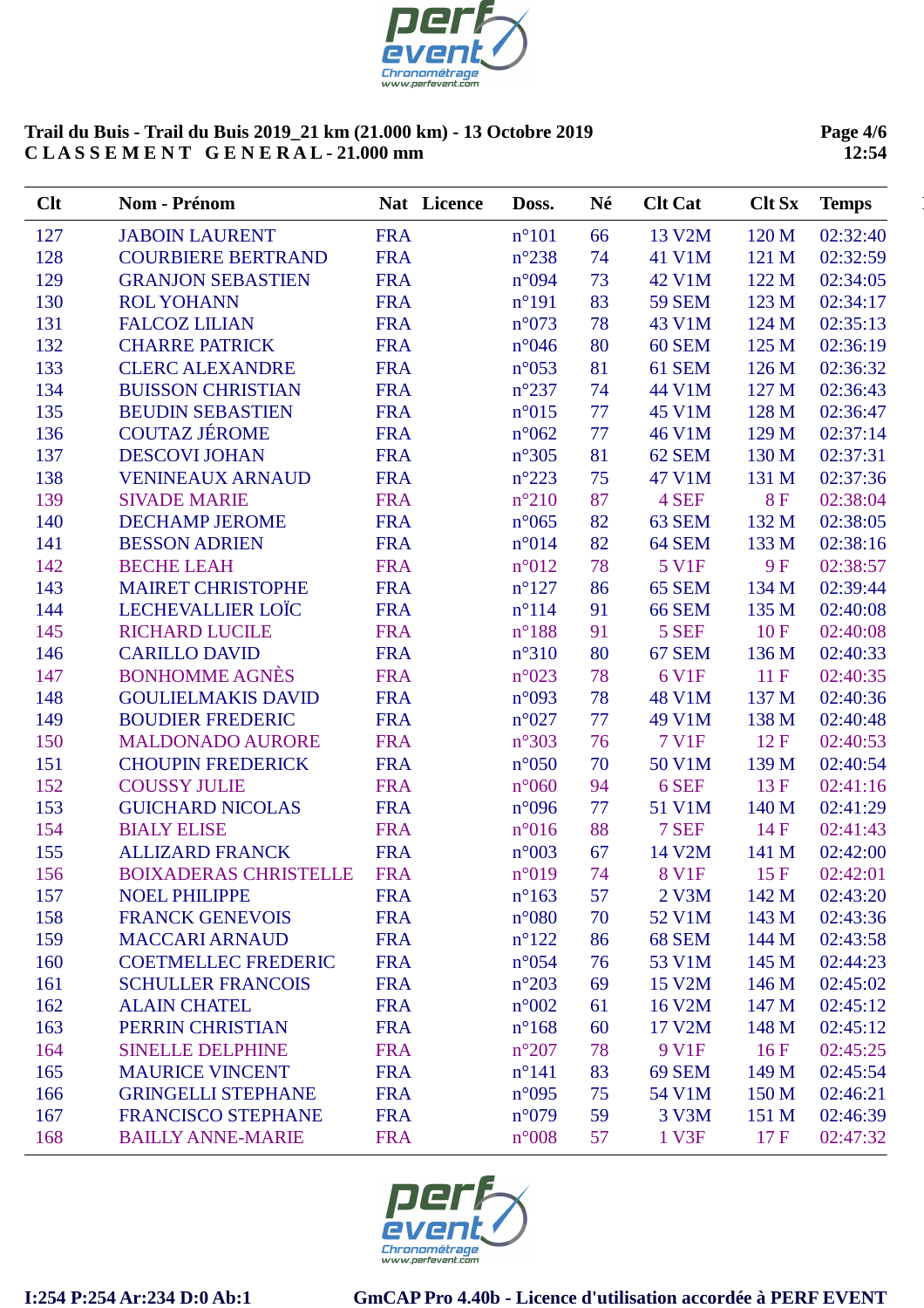

**Page 4/6 12:54**

| Clt | <b>Nom - Prénom</b>          | Nat Licence | Doss.          | Né | <b>Clt Cat</b> | <b>Clt Sx</b> | <b>Temps</b> |
|-----|------------------------------|-------------|----------------|----|----------------|---------------|--------------|
| 127 | <b>JABOIN LAURENT</b>        | <b>FRA</b>  | $n^{\circ}101$ | 66 | 13 V2M         | 120 M         | 02:32:40     |
| 128 | <b>COURBIERE BERTRAND</b>    | <b>FRA</b>  | $n^{\circ}238$ | 74 | 41 V1M         | 121 M         | 02:32:59     |
| 129 | <b>GRANJON SEBASTIEN</b>     | <b>FRA</b>  | n°094          | 73 | 42 V1M         | 122 M         | 02:34:05     |
| 130 | <b>ROL YOHANN</b>            | <b>FRA</b>  | $n^{\circ}191$ | 83 | <b>59 SEM</b>  | 123 M         | 02:34:17     |
| 131 | <b>FALCOZ LILIAN</b>         | <b>FRA</b>  | $n^{\circ}073$ | 78 | 43 V1M         | 124 M         | 02:35:13     |
| 132 | <b>CHARRE PATRICK</b>        | <b>FRA</b>  | $n^{\circ}046$ | 80 | <b>60 SEM</b>  | 125 M         | 02:36:19     |
| 133 | <b>CLERC ALEXANDRE</b>       | <b>FRA</b>  | $n^{\circ}053$ | 81 | 61 SEM         | 126 M         | 02:36:32     |
| 134 | <b>BUISSON CHRISTIAN</b>     | <b>FRA</b>  | $n^{\circ}237$ | 74 | 44 V1M         | 127 M         | 02:36:43     |
| 135 | <b>BEUDIN SEBASTIEN</b>      | <b>FRA</b>  | $n^{\circ}015$ | 77 | 45 V1M         | 128 M         | 02:36:47     |
| 136 | <b>COUTAZ JÉROME</b>         | <b>FRA</b>  | $n^{\circ}062$ | 77 | 46 V1M         | 129 M         | 02:37:14     |
| 137 | <b>DESCOVI JOHAN</b>         | <b>FRA</b>  | $n^{\circ}305$ | 81 | <b>62 SEM</b>  | 130 M         | 02:37:31     |
| 138 | <b>VENINEAUX ARNAUD</b>      | <b>FRA</b>  | $n^{\circ}223$ | 75 | 47 V1M         | 131 M         | 02:37:36     |
| 139 | <b>SIVADE MARIE</b>          | <b>FRA</b>  | $n^{\circ}210$ | 87 | 4 SEF          | <b>8F</b>     | 02:38:04     |
| 140 | <b>DECHAMP JEROME</b>        | <b>FRA</b>  | $n^{\circ}065$ | 82 | 63 SEM         | 132 M         | 02:38:05     |
| 141 | <b>BESSON ADRIEN</b>         | <b>FRA</b>  | n°014          | 82 | <b>64 SEM</b>  | 133 M         | 02:38:16     |
| 142 | <b>BECHE LEAH</b>            | <b>FRA</b>  | $n^{\circ}012$ | 78 | 5 V1F          | <b>9F</b>     | 02:38:57     |
| 143 | <b>MAIRET CHRISTOPHE</b>     | <b>FRA</b>  | $n^{\circ}127$ | 86 | <b>65 SEM</b>  | 134 M         | 02:39:44     |
| 144 | <b>LECHEVALLIER LOÏC</b>     | <b>FRA</b>  | $n^{\circ}114$ | 91 | <b>66 SEM</b>  | 135 M         | 02:40:08     |
| 145 | <b>RICHARD LUCILE</b>        | <b>FRA</b>  | $n^{\circ}188$ | 91 | 5 SEF          | 10F           | 02:40:08     |
| 146 | <b>CARILLO DAVID</b>         | <b>FRA</b>  | $n^{\circ}310$ | 80 | 67 SEM         | 136 M         | 02:40:33     |
| 147 | <b>BONHOMME AGNÈS</b>        | <b>FRA</b>  | $n^{\circ}023$ | 78 | 6 V1F          | 11F           | 02:40:35     |
| 148 | <b>GOULIELMAKIS DAVID</b>    | <b>FRA</b>  | $n^{\circ}093$ | 78 | 48 V1M         | 137 M         | 02:40:36     |
| 149 | <b>BOUDIER FREDERIC</b>      | <b>FRA</b>  | $n^{\circ}027$ | 77 | 49 V1M         | 138 M         | 02:40:48     |
| 150 | <b>MALDONADO AURORE</b>      | <b>FRA</b>  | $n^{\circ}303$ | 76 | <b>7 V1F</b>   | 12F           | 02:40:53     |
| 151 | <b>CHOUPIN FREDERICK</b>     | <b>FRA</b>  | $n^{\circ}050$ | 70 | 50 V1M         | 139 M         | 02:40:54     |
| 152 | <b>COUSSY JULIE</b>          | <b>FRA</b>  | $n^{\circ}060$ | 94 | 6 SEF          | 13F           | 02:41:16     |
| 153 | <b>GUICHARD NICOLAS</b>      | <b>FRA</b>  | n°096          | 77 | 51 V1M         | 140 M         | 02:41:29     |
| 154 | <b>BIALY ELISE</b>           | <b>FRA</b>  | $n^{\circ}016$ | 88 | 7 SEF          | 14F           | 02:41:43     |
| 155 | <b>ALLIZARD FRANCK</b>       | <b>FRA</b>  | $n^{\circ}003$ | 67 | 14 V2M         | 141 M         | 02:42:00     |
| 156 | <b>BOIXADERAS CHRISTELLE</b> | <b>FRA</b>  | $n^{\circ}019$ | 74 | <b>8 V1F</b>   | 15F           | 02:42:01     |
| 157 | <b>NOEL PHILIPPE</b>         | <b>FRA</b>  | $n^{\circ}163$ | 57 | 2 V3M          | 142 M         | 02:43:20     |
| 158 | <b>FRANCK GENEVOIS</b>       | <b>FRA</b>  | $n^{\circ}080$ | 70 | 52 V1M         | 143 M         | 02:43:36     |
| 159 | <b>MACCARI ARNAUD</b>        | <b>FRA</b>  | $n^{\circ}122$ | 86 | <b>68 SEM</b>  | 144 M         | 02:43:58     |
| 160 | <b>COETMELLEC FREDERIC</b>   | <b>FRA</b>  | $n^{\circ}054$ | 76 | 53 V1M         | 145 M         | 02:44:23     |
| 161 | <b>SCHULLER FRANCOIS</b>     | <b>FRA</b>  | $n^{\circ}203$ | 69 | 15 V2M         | 146 M         | 02:45:02     |
| 162 | <b>ALAIN CHATEL</b>          | <b>FRA</b>  | $n^{\circ}002$ | 61 | 16 V2M         | 147 M         | 02:45:12     |
| 163 | PERRIN CHRISTIAN             | <b>FRA</b>  | $n^{\circ}168$ | 60 | 17 V2M         | 148 M         | 02:45:12     |
| 164 | <b>SINELLE DELPHINE</b>      | <b>FRA</b>  | $n^{\circ}207$ | 78 | 9 V1F          | 16F           | 02:45:25     |
| 165 | <b>MAURICE VINCENT</b>       | <b>FRA</b>  | $n^{\circ}141$ | 83 | <b>69 SEM</b>  | 149 M         | 02:45:54     |
| 166 | <b>GRINGELLI STEPHANE</b>    | <b>FRA</b>  | $n^{\circ}095$ | 75 | 54 V1M         | 150 M         | 02:46:21     |
| 167 | <b>FRANCISCO STEPHANE</b>    | <b>FRA</b>  | $n^{\circ}079$ | 59 | 3 V3M          | 151 M         | 02:46:39     |
| 168 | <b>BAILLY ANNE-MARIE</b>     | <b>FRA</b>  | $n^{\circ}008$ | 57 | 1 V3F          | 17F           | 02:47:32     |

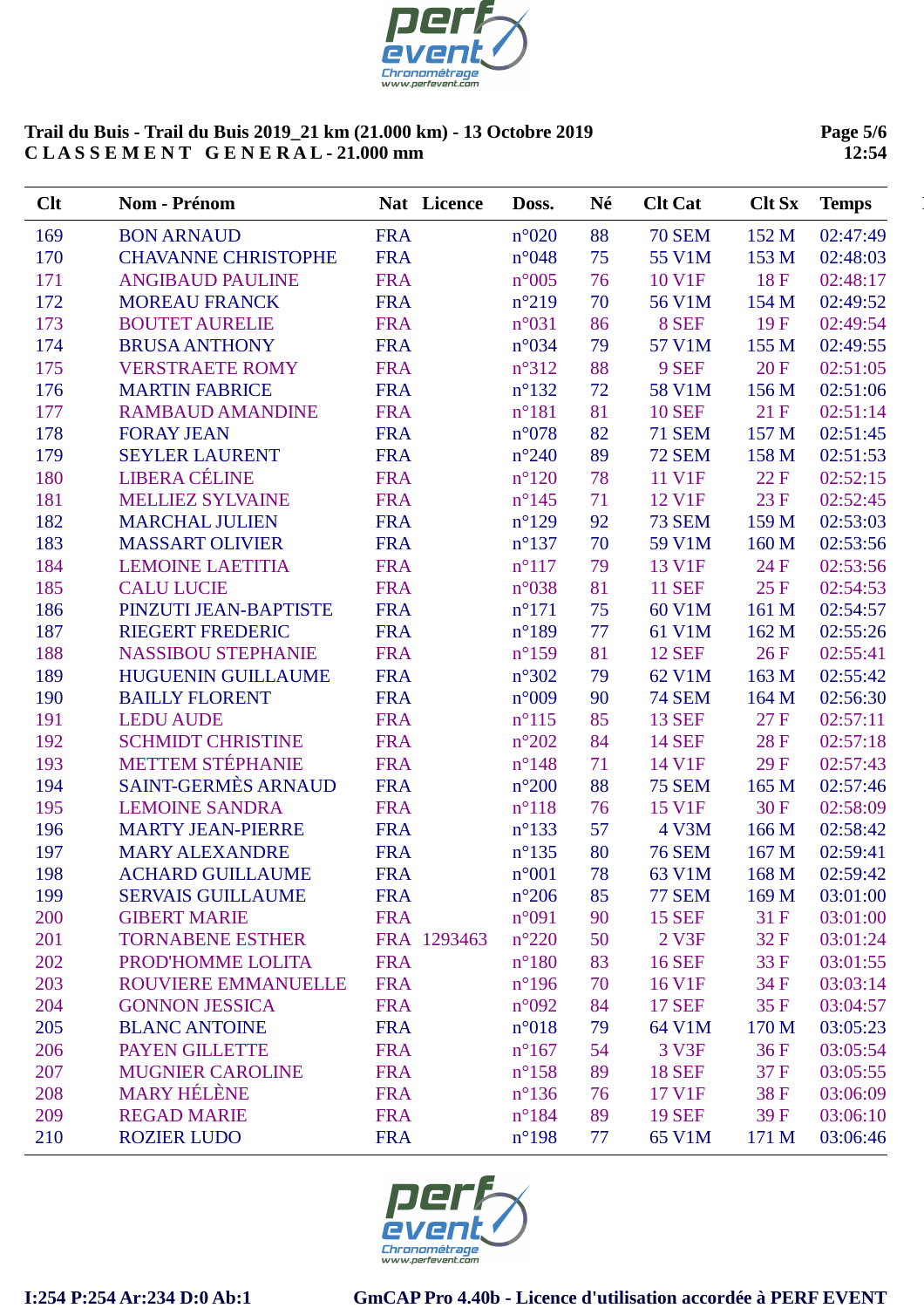

**Page 5/6 12:54**

| Clt | Nom - Prénom               |            | Nat Licence | Doss.           | Né | <b>Clt Cat</b> | <b>Clt Sx</b> | <b>Temps</b> |
|-----|----------------------------|------------|-------------|-----------------|----|----------------|---------------|--------------|
| 169 | <b>BON ARNAUD</b>          | <b>FRA</b> |             | $n^{\circ}020$  | 88 | <b>70 SEM</b>  | 152 M         | 02:47:49     |
| 170 | <b>CHAVANNE CHRISTOPHE</b> | <b>FRA</b> |             | $n^{\circ}048$  | 75 | 55 V1M         | 153 M         | 02:48:03     |
| 171 | <b>ANGIBAUD PAULINE</b>    | <b>FRA</b> |             | $n^{\circ}005$  | 76 | 10 V1F         | 18F           | 02:48:17     |
| 172 | <b>MOREAU FRANCK</b>       | <b>FRA</b> |             | $n^{\circ}219$  | 70 | 56 V1M         | 154 M         | 02:49:52     |
| 173 | <b>BOUTET AURELIE</b>      | <b>FRA</b> |             | $n^{\circ}031$  | 86 | 8 SEF          | 19F           | 02:49:54     |
| 174 | <b>BRUSA ANTHONY</b>       | <b>FRA</b> |             | $n^{\circ}034$  | 79 | 57 V1M         | 155 M         | 02:49:55     |
| 175 | <b>VERSTRAETE ROMY</b>     | <b>FRA</b> |             | $n^{\circ}312$  | 88 | 9 SEF          | 20 F          | 02:51:05     |
| 176 | <b>MARTIN FABRICE</b>      | <b>FRA</b> |             | $n^{\circ}132$  | 72 | 58 V1M         | 156 M         | 02:51:06     |
| 177 | <b>RAMBAUD AMANDINE</b>    | <b>FRA</b> |             | $n^{\circ}181$  | 81 | <b>10 SEF</b>  | 21 F          | 02:51:14     |
| 178 | <b>FORAY JEAN</b>          | <b>FRA</b> |             | $n^{\circ}078$  | 82 | <b>71 SEM</b>  | 157 M         | 02:51:45     |
| 179 | <b>SEYLER LAURENT</b>      | <b>FRA</b> |             | $n^{\circ}240$  | 89 | <b>72 SEM</b>  | 158 M         | 02:51:53     |
| 180 | <b>LIBERA CÉLINE</b>       | <b>FRA</b> |             | $n^{\circ}120$  | 78 | 11 V1F         | 22 F          | 02:52:15     |
| 181 | <b>MELLIEZ SYLVAINE</b>    | <b>FRA</b> |             | $n^{\circ}$ 145 | 71 | 12 V1F         | 23 F          | 02:52:45     |
| 182 | <b>MARCHAL JULIEN</b>      | <b>FRA</b> |             | $n^{\circ}129$  | 92 | <b>73 SEM</b>  | 159 M         | 02:53:03     |
| 183 | <b>MASSART OLIVIER</b>     | <b>FRA</b> |             | $n^{\circ}137$  | 70 | 59 V1M         | 160 M         | 02:53:56     |
| 184 | <b>LEMOINE LAETITIA</b>    | <b>FRA</b> |             | $n^{\circ}117$  | 79 | 13 V1F         | 24 F          | 02:53:56     |
| 185 | <b>CALU LUCIE</b>          | <b>FRA</b> |             | $n^{\circ}038$  | 81 | <b>11 SEF</b>  | 25 F          | 02:54:53     |
| 186 | PINZUTI JEAN-BAPTISTE      | <b>FRA</b> |             | $n^{\circ}171$  | 75 | 60 V1M         | 161 M         | 02:54:57     |
| 187 | <b>RIEGERT FREDERIC</b>    | <b>FRA</b> |             | $n^{\circ}189$  | 77 | 61 V1M         | 162 M         | 02:55:26     |
| 188 | <b>NASSIBOU STEPHANIE</b>  | <b>FRA</b> |             | $n^{\circ}159$  | 81 | <b>12 SEF</b>  | 26 F          | 02:55:41     |
| 189 | <b>HUGUENIN GUILLAUME</b>  | <b>FRA</b> |             | $n^{\circ}302$  | 79 | 62 V1M         | 163 M         | 02:55:42     |
| 190 | <b>BAILLY FLORENT</b>      | <b>FRA</b> |             | $n^{\circ}009$  | 90 | <b>74 SEM</b>  | 164 M         | 02:56:30     |
| 191 | <b>LEDU AUDE</b>           | <b>FRA</b> |             | $n^{\circ}115$  | 85 | <b>13 SEF</b>  | 27 F          | 02:57:11     |
| 192 | <b>SCHMIDT CHRISTINE</b>   | <b>FRA</b> |             | $n^{\circ}202$  | 84 | <b>14 SEF</b>  | 28F           | 02:57:18     |
| 193 | <b>METTEM STÉPHANIE</b>    | <b>FRA</b> |             | $n^{\circ}$ 148 | 71 | 14 V1F         | 29 F          | 02:57:43     |
| 194 | <b>SAINT-GERMÈS ARNAUD</b> | <b>FRA</b> |             | $n^{\circ}200$  | 88 | <b>75 SEM</b>  | 165 M         | 02:57:46     |
| 195 | <b>LEMOINE SANDRA</b>      | <b>FRA</b> |             | $n^{\circ}118$  | 76 | 15 V1F         | 30 F          | 02:58:09     |
| 196 | <b>MARTY JEAN-PIERRE</b>   | <b>FRA</b> |             | $n^{\circ}$ 133 | 57 | 4 V3M          | 166 M         | 02:58:42     |
| 197 | <b>MARY ALEXANDRE</b>      | <b>FRA</b> |             | $n^{\circ}$ 135 | 80 | <b>76 SEM</b>  | 167 M         | 02:59:41     |
| 198 | <b>ACHARD GUILLAUME</b>    | <b>FRA</b> |             | $n^{\circ}001$  | 78 | 63 V1M         | 168 M         | 02:59:42     |
| 199 | <b>SERVAIS GUILLAUME</b>   | <b>FRA</b> |             | $n^{\circ}206$  | 85 | <b>77 SEM</b>  | 169 M         | 03:01:00     |
| 200 | <b>GIBERT MARIE</b>        | <b>FRA</b> |             | n°091           | 90 | <b>15 SEF</b>  | 31 F          | 03:01:00     |
| 201 | <b>TORNABENE ESTHER</b>    |            | FRA 1293463 | $n^{\circ}220$  | 50 | 2 V3F          | 32F           | 03:01:24     |
| 202 | PROD'HOMME LOLITA          | <b>FRA</b> |             | $n^{\circ}180$  | 83 | <b>16 SEF</b>  | 33 F          | 03:01:55     |
| 203 | ROUVIERE EMMANUELLE        | <b>FRA</b> |             | $n^{\circ}$ 196 | 70 | 16 V1F         | 34 F          | 03:03:14     |
| 204 | <b>GONNON JESSICA</b>      | <b>FRA</b> |             | $n^{\circ}092$  | 84 | <b>17 SEF</b>  | 35F           | 03:04:57     |
| 205 | <b>BLANC ANTOINE</b>       | <b>FRA</b> |             | $n^{\circ}018$  | 79 | 64 V1M         | 170 M         | 03:05:23     |
| 206 | PAYEN GILLETTE             | <b>FRA</b> |             | $n^{\circ}167$  | 54 | 3 V3F          | 36F           | 03:05:54     |
| 207 | <b>MUGNIER CAROLINE</b>    | <b>FRA</b> |             | $n^{\circ}158$  | 89 | <b>18 SEF</b>  | 37 F          | 03:05:55     |
| 208 | <b>MARY HÉLÈNE</b>         | <b>FRA</b> |             | $n^{\circ}$ 136 | 76 | 17 V1F         | 38F           | 03:06:09     |
| 209 | <b>REGAD MARIE</b>         | <b>FRA</b> |             | $n^{\circ}184$  | 89 | <b>19 SEF</b>  | 39F           | 03:06:10     |
| 210 | <b>ROZIER LUDO</b>         | <b>FRA</b> |             | $n^{\circ}$ 198 | 77 | 65 V1M         | 171 M         | 03:06:46     |